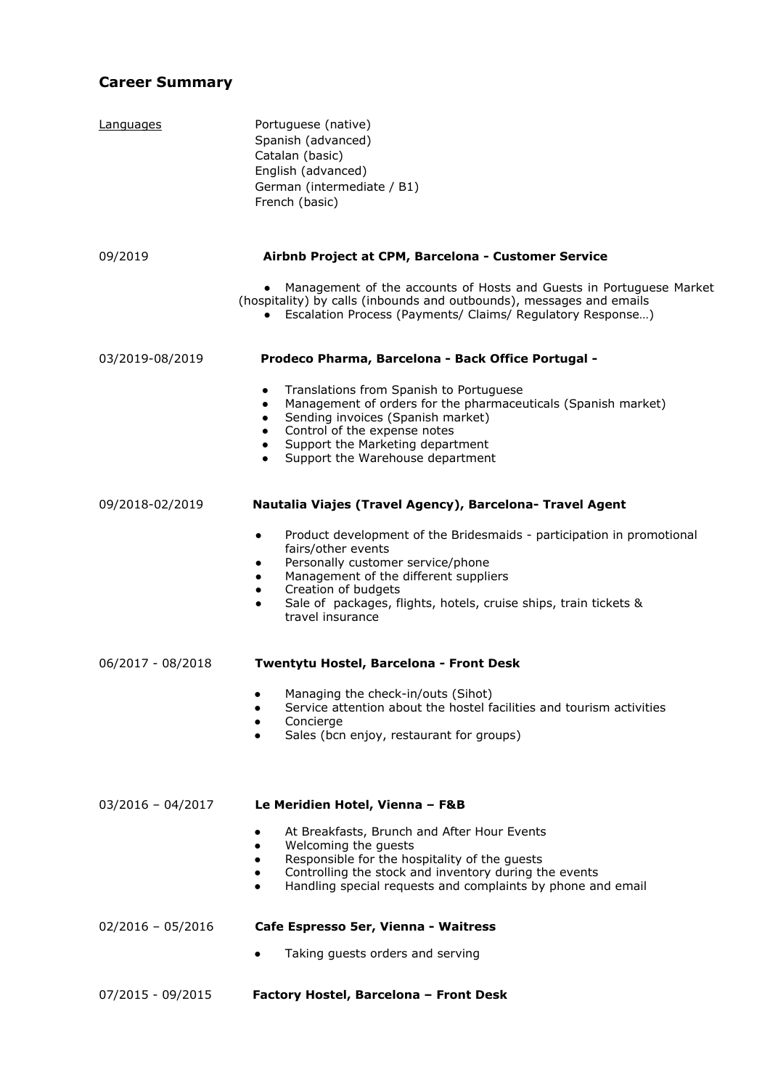# **Career Summary**

| Languages           | Portuguese (native)<br>Spanish (advanced)<br>Catalan (basic)<br>English (advanced)<br>German (intermediate / B1)<br>French (basic)                                                                                                                                                                                                   |
|---------------------|--------------------------------------------------------------------------------------------------------------------------------------------------------------------------------------------------------------------------------------------------------------------------------------------------------------------------------------|
| 09/2019             | Airbnb Project at CPM, Barcelona - Customer Service                                                                                                                                                                                                                                                                                  |
|                     | Management of the accounts of Hosts and Guests in Portuguese Market<br>(hospitality) by calls (inbounds and outbounds), messages and emails<br>Escalation Process (Payments/ Claims/ Regulatory Response)<br>$\bullet$                                                                                                               |
| 03/2019-08/2019     | Prodeco Pharma, Barcelona - Back Office Portugal -                                                                                                                                                                                                                                                                                   |
|                     | Translations from Spanish to Portuguese<br>$\bullet$<br>Management of orders for the pharmaceuticals (Spanish market)<br>Sending invoices (Spanish market)<br>Control of the expense notes<br>Support the Marketing department<br>$\bullet$<br>Support the Warehouse department<br>$\bullet$                                         |
| 09/2018-02/2019     | Nautalia Viajes (Travel Agency), Barcelona- Travel Agent                                                                                                                                                                                                                                                                             |
|                     | Product development of the Bridesmaids - participation in promotional<br>$\bullet$<br>fairs/other events<br>Personally customer service/phone<br>٠<br>Management of the different suppliers<br>$\bullet$<br>Creation of budgets<br>$\bullet$<br>Sale of packages, flights, hotels, cruise ships, train tickets &<br>travel insurance |
| 06/2017 - 08/2018   | Twentytu Hostel, Barcelona - Front Desk                                                                                                                                                                                                                                                                                              |
|                     | Managing the check-in/outs (Sihot)<br>Service attention about the hostel facilities and tourism activities<br>٠<br>Concierge<br>Sales (bcn enjoy, restaurant for groups)                                                                                                                                                             |
| $03/2016 - 04/2017$ | Le Meridien Hotel, Vienna - F&B                                                                                                                                                                                                                                                                                                      |
|                     | At Breakfasts, Brunch and After Hour Events<br>Welcoming the guests<br>Responsible for the hospitality of the guests<br>Controlling the stock and inventory during the events<br>Handling special requests and complaints by phone and email<br>$\bullet$                                                                            |
| $02/2016 - 05/2016$ | Cafe Espresso 5er, Vienna - Waitress                                                                                                                                                                                                                                                                                                 |
|                     | Taking guests orders and serving                                                                                                                                                                                                                                                                                                     |
| 07/2015 - 09/2015   | Factory Hostel, Barcelona - Front Desk                                                                                                                                                                                                                                                                                               |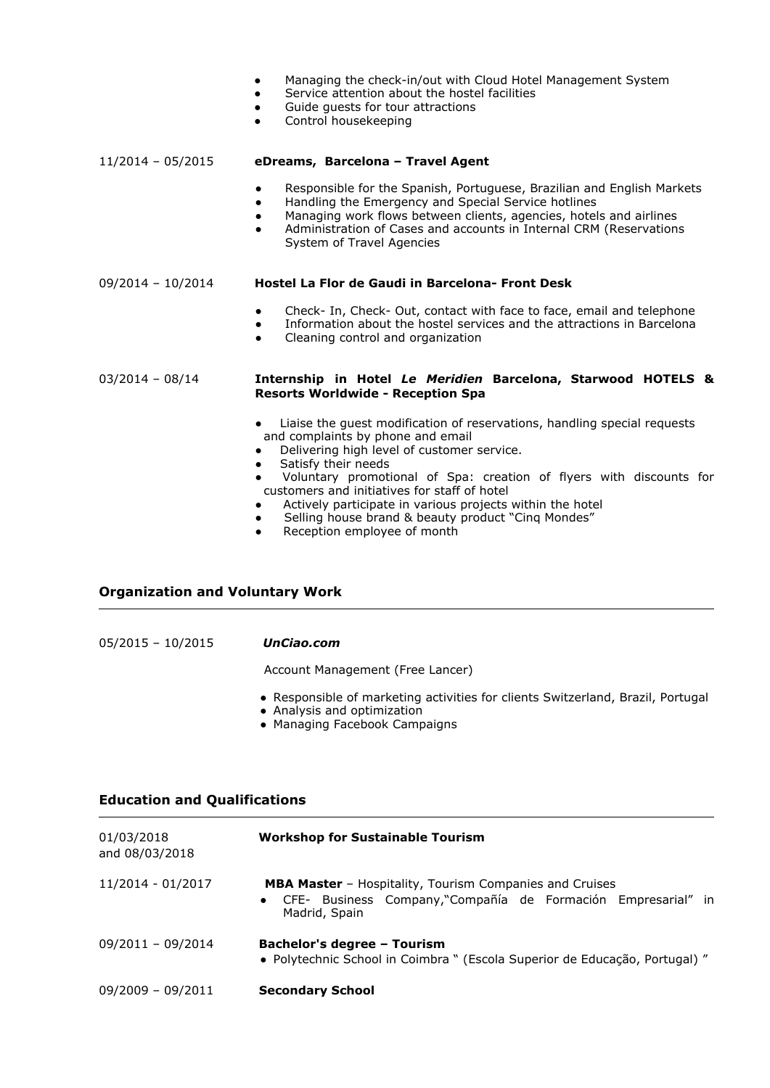- Managing the check-in/out with Cloud Hotel Management System
- Service attention about the hostel facilities
- Guide guests for tour attractions
- Control housekeeping

#### 11/2014 – 05/2015 **eDreams, Barcelona – Travel Agent**

- Responsible for the Spanish, Portuguese, Brazilian and English Markets
- Handling the Emergency and Special Service hotlines
- Managing work flows between clients, agencies, hotels and airlines
- Administration of Cases and accounts in Internal CRM (Reservations System of Travel Agencies

#### 09/2014 – 10/2014 **Hostel La Flor de Gaudi in Barcelona- Front Desk**

- Check- In, Check- Out, contact with face to face, email and telephone
- Information about the hostel services and the attractions in Barcelona
- Cleaning control and organization

#### 03/2014 – 08/14 **Internship in Hotel** *Le Meridien* **Barcelona, Starwood HOTELS & Resorts Worldwide - Reception Spa**

- Liaise the guest modification of reservations, handling special requests and complaints by phone and email
- Delivering high level of customer service.
- Satisfy their needs
- Voluntary promotional of Spa: creation of flyers with discounts for customers and initiatives for staff of hotel
- Actively participate in various projects within the hotel
- Selling house brand & beauty product "Cinq Mondes"
- Reception employee of month

## **Organization and Voluntary Work**

| 05/2015 - 10/2015 | UnCiao.com                                                                      |
|-------------------|---------------------------------------------------------------------------------|
|                   | Account Management (Free Lancer)                                                |
|                   | • Responsible of marketing activities for clients Switzerland, Brazil, Portugal |

- Analysis and optimization
- Managing Facebook Campaigns

## **Education and Qualifications**

| 01/03/2018<br>and 08/03/2018 | <b>Workshop for Sustainable Tourism</b>                                                                                                                       |
|------------------------------|---------------------------------------------------------------------------------------------------------------------------------------------------------------|
| 11/2014 - 01/2017            | <b>MBA Master</b> - Hospitality, Tourism Companies and Cruises<br>CFE- Business Company, "Compañía de Formación Empresarial" in<br>$\bullet$<br>Madrid, Spain |
| 09/2011 - 09/2014            | Bachelor's degree - Tourism<br>• Polytechnic School in Coimbra " (Escola Superior de Educação, Portugal) "                                                    |
| $09/2009 - 09/2011$          | <b>Secondary School</b>                                                                                                                                       |